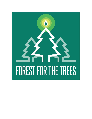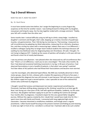# **Top 3 Overall Winners**

NOW YOU SEE IT, NOW YOU DON'T

By: Dr. Rush Pierce

It must have started some time before, but I assign the beginning to a sunny August day, auspicious at the time for another reason. I was looking forward to hiking with my daughter, now grown and living far away. Our fun day together ended with a strange comment: "Daddy, your left calf is smaller than the other one."

Some months later I noticed difficulty using my left leg to climb a steep ledge. I recalled my daughter's comment and thought, that's odd, stepping up is mainly a function of quadriceps muscles, not gastrocnemius. Then I fell during my morning run. That evening, I measured my calf circumferences by palpating my tibial tuberosities, measuring 10 cm inferiorly, drawing a line, and then circling my calves with a measuring tape. Indeed, there was a 3 cm difference. I recalled a colleague saying they no longer teach medical students this technique because calf swelling has low likelihood ratios for diagnosing deep vein thrombosis. Oh well, I thought, I'm not trying to diagnose DVT. I looked up the causes of painless calf atrophy in a 63-year-old man and found a short list of mostly bad diseases.

I saw my primary care physician. I was pleased when she measured my calf circumferences like I had. "There's a 3 cm difference, I want you to see a neurologist." This took a few months. By then I had observed occasional twitching movements in my leg. In 40 years of practice, I had observed fasciculations in just a handful of patients, is that what I was seeing? I watched YouTube videos of ALS patients who had filmed their fasciculations and became more worried.

I saw the neurologist, who detected hyperreflexia. My EMG was markedly abnormal in three motor groups, classic for ALS, a disease with a median life expectancy of three to five years. I had suspected this diagnosis but was still stunned, in part because I felt well and was so active. My children urged me to get a second opinion. I saw a specialist at one of the national ALS Centers who confirmed my diagnosis.

I thought I would feel anxious and depressed, but mainly I experienced something else. Previously I had been drifting along, enjoying my life, thinking I would live to at least age 85. Now I was facing just a few years of life, half with significant disability. Suddenly, my life came into focus. My daughter had been urging me to join her in walking the Camino de Santiago. Four months after my diagnosis, I traveled to Spain for this very special father-daughter journey. Without the urgency created by ALS, I doubt that I would have made time for this. I spent more time with family and friends. I connected with long neglected high school classmates. I became interested in mindfulness mediation, and though never a regular practitioner, I often found myself focusing on the present moment and finding joy and meaning in what was right in front of me. I enrolled in a clinical trial. I had been able to be such a better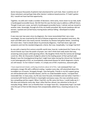doctor because thousands of patients had volunteered for such trials. Now I could be one of those volunteers and perhaps help other doctors' evidence-based practice. If I hadn't gotten ALS, I would not have had that opportunity.

Together, my wife and I made a number of decisions: retire early, move closer to our kids, build a handicapped accessible house. We felt that this was the best way to address a difficult future. Though it took over a year, we built a handicapped accessible home, I retired, and we moved to another state. Amazingly, through all of this my health prevailed. My muscle weakness did not worsen, I packed and carried heavy moving boxes without falling. I developed no bulbar symptoms.

It was now over two years since my diagnosis. Our move necessitated that I see a new neurologist. He was surprised by the lack of disease progression and repeated many tests. My exam and EMG were now nearly normal. Somehow my disease had gotten better, something ALS never does. I had no doubt about my previously diagnosis, I had had classic signs and symptoms and met the standard diagnostic criteria. But now, inexplicably, I no longer had ALS!

As one with a twenty-first century scientific world view, how do I understand this? Some of my church friends say it was the power of prayer, but I don't think God really works that way, answering some prayers while ignoring others. My daughter thinks that the Camino de Santiago cured me. After all, thousands of pilgrims attest to the healing power of that spiritual walk. Maybe it was the investigational drug that I might have taken during the clinical trial. Perhaps it is just heterogeneity of ALS, an incompletely understood disease for which diagnostic criteria are still inexact. To me it doesn't matter, it is simply one of life's mysterious, awesome gifts.

I have experienced mixed, confusing emotions about all of this. I am overjoyed that I can anticipate a longer life with a different ending. I awaken every day, still astonished about this incredible turn of events. Strangely though, I also feel guilty. Friends in my ALS support group are still burdened with a horrible disease, and for no understandable reason, I escaped their inexorable fate. In many ways, my life was more focused, immediate and real when I had ALS. I connected with family and friends in meaningful and joyous ways, this now somehow seems less compelling and less urgent. When I had ALS, my life came into focus. I could really see it. I felt alive and authentic every day. Now I often feel less vibrant, less attentive to the joy of everyday things. While I am so thankful that I no longer have ALS, I desperately hope I can hold onto the part of that terrible disease that unexpectedly added focus, meaning and joy to my life.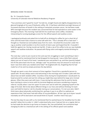#### BRINGING HOME THE BACON

By: Dr. Cassandra Duarte University of Colorado Internal Medicine Residency Program

"Your promises aren't good for much" he told me, straight faced and slightly disappointed as he glanced longingly at his cup of Starbucks coffee. Mr. O had been admitted overnight because of increased shortness of breath in the setting of metastatic prostate cancer. He had been made NPO overnight because the resident was concerned that he had aspirated on some water in the Emergency Room. This morning I had told him he could have some coffee, mistakenly interpreting his nursing dysphagia screen for the official speech and swallow screen.

I apologized profusely and asked him to hold off on drinking his coffee for just a short bit of time until the team had a chance to come talk with him. "This is already off to a bad start" I thought as I foamed out and walked away from his room. I brushed the encounter under the rug as another small stumble in my first month of intern year and hoped that Mr. O wouldn't hold this against me. During rounds we had Mr. O take a sip of his coffee to do our own bedside speech and swallow evaluation. He passed with flying colors and eagerly started drinking his coffee.

The next day I came to pre-round on him and saw him struggling to reach something in bed. I said hello and he mentioned that he had dropped his hearing aid. I saw a little flesh colored object just out of reach of his hand. I wandered over and picked it up, and then (poorly) helped him fit the piece back into his ear. Jokingly I said "my promises may not amount to much but at least I was here when you needed some help!" He laughed with me, forgetting that he had made fun of me and my empty promises the day before.

Though we spent a very short amount of time together I found him a wonderful person to speak with. He was always warm and welcoming in the mornings and I'd make a joke with him about how we both needed coffee. Countless times during his hospitalization I would peek my head around his curtain and see him sitting up, bright blue eyes behind his large wire rimmed glasses. Often they were wet with tears. It was during this admission that he and his family were starting to come to terms with his terminal diagnosis and were considering a hospice referral. Usually when I saw him upset I'd come over and sit with him, plopping myself on the edge of his bed. We'd chat about different things in our lives and without thinking I'd reach over and hold his hand or rub his shoulder during our conversations. I'm not sure why I didn't think twice about physically comforting him; perhaps it was in an effort to replicate an experience that I had never had with either of my grandfathers. W hen I got up to leave I would inevitably set off his bed alarm and would think to myself, "another intern faux pas."

The last few days he was with us he mentioned that he wanted bacon for breakfast but his diet wouldn't allow him to order it. I didn't understand why since I had put him on a regular diet as he had made the decision to go home on hospice. But, low and behold, the nutritionist kept changing his diet to a mechanical soft in the setting of his official speech and swallow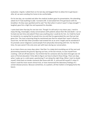evaluation. Angrily I called them on his last day and begged them to allow him to get bacon after all, we were sending him home to be comfortable.

On his last day, we rounded and after the medical student gave his presentation, the attending asked me if I had anything to add. I turned to Mr. O and asked him if he got bacon with his breakfast. His blue eyes sparkled and he said "Yes! But when it came it wasn't crispy enough!" I laughed, gave him a high-five and squeezed his shoulder.

I came back later that day for one last visit. Though I'm still early in my intern year, I tend to enjoy the big, meaningful, meaty conversations with patients about their life and death. I sat on his bed one last time and asked if there was anything else I could do for him. As I held his hand he started to cry saying that he would miss me and that he appreciated the care that we had given him. The most surprising thing he mentioned was that he valued that I wasn't afraid to touch him. He felt that other providers had treated him at an arms' length and he wondered if his prostate cancer diagnosis scared people from physically interacting with him. For the first time, his eyes weren't the only ones wet with tears during our conversation.

As an intern there are many days when I feel like I'm a baby bird stumbling out of the nest and plummeting towards the ground, figuring out how, at the last minute, to save myself from crashing. I still set off bed alarms. You'd think that for someone who has been through over 20 years of formal education I'd be able to figure out how to disarm these things. There are days when I wake up in a cold sweat, questioning if I am doing the right thing. When I start to doubt myself I think back on tender moments like those with Mr. O, and and tell myself it's okay if I haven't read the most recent clinical trial, or have memorized the laboratory findings of a certain disease process. Because sometimes, to a patient, all that matters is bringing home the bacon.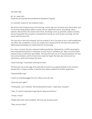# THE EASY ONE

By: Dr. Jason John University of Colorado Internal Medicine Residency Program

It's a familiar routine for the medicine intern.

We arrive at the hospital early in the morning, receive sign-out, furiously mine clinical data, and run around seeing patients before rounds. We are expected to know "everything" about patients. We prioritize the newest and sickest. But things come up, priorities replace priorities, and we frequently find ourselves running behind. During our most chaotic mornings, we find solace with the Easy One.

The Easy One is alert and oriented, and not acutely ill. His or her plan of care is well-established, and often near completion. In fact, we usually aren't doing much for the Easy One aside from addressing frustratingly non-medical barriers to discharge.

For a time, my Easy One was a pleasant elderly gentleman. Admitted for a COPD exacerbation that responded beautifully to treatment, he was stuck in "antibiotic jail" after one of his blood cultures drawn at admission grew MSSA. The Easy One was one of my favorite patients. He was nice and nonchalant, and his mannerisms made me laugh. My team got a kick out of our interactions, which were always the same.

"Good morning!" I'd proclaim entering his room.

The Easy One sat on the edge of his bed with his back to me, gazing dutifully to the northern window like a compass needle. A cheerful tone always replaced his wistful appearance.

"Gooood MOR-ning!"

I heard my attending giggle from her office across the hall.

"How was your night?"

"Pretty good…can't complain. My breathing feels better. I slept okay, not great."

"Yeah, it's almost impossible to get decent sleep around here."

"I know, I know."

"Alright well order some breakfast. We'll see you during rounds."

"Okay, see you later!"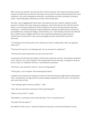After rounds, we wouldn't see the Easy One until the next day. The newest and sickest would occupy our afternoons just like the mornings, and my duties mostly involved sitting at the same computer in the same windowless workroom, coordinating care with consultants, putting in orders, answering pages, following up on data, and writing notes.

One day, I was struggling with these tasks. One patient was sick. Another needed a lumbar puncture. Another had a poor long-term prognosis, and I had to discuss this with him and his family. I was starting to experience all the symptoms of burnout we discussed during intern orientation – emotional exhaustion, depersonalization, feelings of ineffectiveness and lack of accomplishment, compassion fatigue, moral distress, etc. I was working so hard to do what felt like a mediocre job, salvaged only by the more experienced physicians supervising me. Furthermore, the Easy One's new nurse was paging me what seemed like hourly that afternoon.

"I'm taking over for the Easy One and I noticed you haven't ordered labs. Were you going to order any?"

"The Easy One says he's not sleeping well. Can we increase his melatonin?"

"The Easy One seems depressed. Can you come see him?"

I promised to see the Easy One before I left but was certain he was fine. He had been doing fine since I met him. On a day I thought I'd be working late into the evening, I managed to wrap up by six o'clock. As I bolted for the exit, I remembered my promise.

"Hey there! I just wanted to check in. How are things going?"

"Pretty good…can't complain. My breathing feels better."

I walked to the window and enjoyed a moment of the diminishing sunlight before sitting down. Then I stretched out my legs and let my body collapse backwards into the chair. The Easy One and I were face-to-face.

"I was hoping to get to know you better," I said.

"Sure. We see each other every day so that would be good."

"Where are you from?" I asked.

"New Mexico. Lived there until I joined the Navy. Then I traveled all over."

"Oh yeah? Tell me about it."

We talked for half an hour. I learned all about the Easy One, and he learned about me too.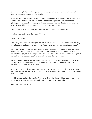Given a transcript of the dialogue, one would never guess the conversation had occurred between a doctor and patient in the hospital.

Eventually, I noticed the pitch darkness that had surreptitiously swept in behind the window. I told the Easy One that his nurse was worried he seemed depressed. I discovered he was grieving the recent death of his daughter from a drug overdose, but that things were getting better. I assured him that we would support him in any way we could.

"Well, I have to go, but hopefully you get some sleep tonight." I stood to leave.

"Yeah, at least until they wake me up at three."

"What do you mean?"

"Well, they come do my breathing treatments at eleven, and I go to sleep afterwards. But they come back at three in the morning. It doesn't really help, and I can never get back to sleep."

Beginning my trek to the employee parking garage, I felt great. I remembered why I had gone into medicine in the first place: to take care of people during their most vulnerable moments in life. And that night, I felt like I might have succeeded. I heard the Easy One's story. And I spaced out his breathing treatments so that he would not be woken up at night.

But as I walked, I realized how detached I had become from the people I was supposed to be serving. I was often not the physician I aspired to be, and had little more than my own inexperience and inefficiency to blame.

In fact, I am emotionally invested in my patients. I worry when they are sick. I grieve when they die. I rejoice when they get better. But oftentimes, they would never know from our necessarily brief interactions.

I could have delved into the Easy One's concerns days beforehand. If I had, a sick, elderly man would not have been unnecessarily woken up in the middle of every night.

It would have been so easy.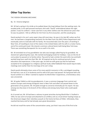# **Other Top Stories**

# THE YIDDISH SPEAKING MECHANIC

# By: Dr. Victoria Seligman

Mr. M had a spring in his stride as he walked down the long hallway from the waiting room. He exuded pride, in his well pressed mechanic shirt with "David" embroidered above the right pocket. It was his uniform. I never saw him in any other clothes over the almost ten years that he was my patient. I felt an affinity for him from my first encounter, and this would grow.

David worked in his son's auto repair shop still most days. He was in his late 80's when we first met. He had been a longstanding mechanic for the New York City (NYC) Police Department and eventually came to Colorado with his family. He recounted tales over the years: of working in New York, of travelling to most of the states in the United States with his wife in a motor home, and of his continued travel. We shared a common cultural bond, both being New York Jews. There was something therapeutic for me as well in his visits.

Mr. M reminded me of my grandfather Joe who was lovingly called Pop by his grandkids. He shared Joe's gleaming blue eyes. We started exchanging emails for holidays. I was on the list of corny jokes he passed on to family online. Pop and he had a similar the work ethic too and both worked long hours well into their 90s. Mr. M inspired me by his continual pursuit of new education and experiences. A few years ago, he told me with great joy that he had been accepted at his synagogue to a religious spiritual study called Kabbalah that would require daily meetings even earlier than his mornings at his son's shop.

David would ultimately share some of his more painful moments in life; a privileged revealing. He had lost a son at 21 to leukemia and his wife of 65 years had passed. He had great faith and found comfort in it. When I started to explore his World War II experience, a tremendous story was uncovered.

Mr. M spoke Yiddish as did my grandparents. It was a common language from central and eastern Europe used among immigrant Jews in New York and often not passed down to the generation of my parents. Mr. M spoke enough to converse minimally per his report. He was among very few Jews in his branch of the military and among many fewer who could speak Yiddish.

As it turned out, Mr. M had been a witness to great atrocities during World War II. Drafted in 1943, he was sent to Europe and attached to an artillery unit as a truck driver hauling troops as the Americans began their relentless assault on the home territory of Hitler. Ultimately, they reached Germany and he had already seen great devastation.

He did not recall the name of the concentration camp, just that it was one of the first to be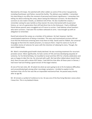liberated by US troops. He watched with other solders as some of the army's top generals, including Eisenhower and Patton, toured the facility. The delivery was indelible. I remember him describing in my office the moment of personal and historic significance. I remember him telling me about entering the camp, about seeing the Holocaust survivors. He described the survivors as one reads in books, as skeletons full of fear. He also recalled the corpses. I remember seeing his eyes twinkle as they teared. His story intersected with my personal history, as I am of a generation that still had direct ties to the Holocaust. I had a childhood friend whose parents were smuggled out of France to survive. I had Hebrew school teachers who were survivors. I had seen the numbers tattooed on arms. I was brought up with an obligation to remember.

David had entered the camps as a member of his platoon. He had, however, had the unanticipated experience of being a translator. The wary and traumatized survivors did not trust that the Americans entering were truly there to help. David used his Yiddish, the universal language at that time for Jewish prisoners, to reassure them. I kept his name on my list of incredible stories of veterans for years with the intention of videoing his story. Though, the years slipped away.

Mr. Mark's remarkable good health slowly declined. He was receiving treatment for recurrent prostate cancer. More significantly, he had a series of TIAs and was developing sequelae of ischemia. For his 92nd birthday, he travelled to Israel and then NYC for a family celebration and was so happy to take this trip. He returned with a gift. We had often talked about Jewish food. And, there he was with a dozen NYC bialys. I had told him that after all these years in Denver, I had never had luck finding a good version of this bagel relative.

At one of his last visits, Mr. M asked me what we were going to do to fix his balance difficulties and uncoordinated gait among other neurologic symptoms. I strolled to explain to the mechanic that a fix for him was like an impossible mechanical feat. He passed away shortly after at age 96.

Mr. M remains a symbol of resilience to me. He was one of the few living liberator voices when I knew him. This is my belated tribute.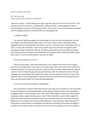#### HOW TO SHARE A HISTORY

By: Nicholas Arlas University of Colorado School of Medicine

"But you're white," said the little person with a big voice who sat in the bed in Care Unit 2. We had just met for the first time, a patient and a medical student, coming together to share a story sparked by the history of the present illness. In this case, she was here because she awoke at 4am coughing up blood, and had felt like she was going to die.

# "I couldn't breathe."

The sound of high flow oxygen whirred through the room in the ED at Memorial, and she sat upright in her bed drinking coffee, black. Her name, which I'd seen in the EMR upstairs, suggested that she was Native. Not the native as in I'm a "Colorado native" who likes to put my kid in a onesie with said label, or who turns up their nose at out-of-state transplants while drinking craft beer in downtown Denver. The Native whose family was here before Colorado was Colorado, before the plains were Oklahoma, the Dakotas, Kansas, Nebraska. Before states were states. To use her preferred term, she was an Indian.

"You don't know how it is for us."

Those are true words. I will never know how it is for a Native American to live in today's America. So what does that mean when it's my job to give voice to her story in the context of a hospital admission? This person is part of a community that has been marginalized through the systemic racism of both the government and institutions like the healthcare system. She was stepping into a world where she would have to give up a fair amount of control. In fact, as her admission was at a teaching hospital, I would be the one to tell her story and provide the first pieces of information about her to the attending physician.

"If I'm not out of here by Friday I'm going AMA!"

The conversation started to flow from the drip, drip, drip, of a faucet left on, into the steady stream of melting ice. I had learned about certain aspects of Native culture from storytellers and great writers. Tommy Orange, in his novel *There There* taught me about the urban Native experience, about regalia, blood quantum, and A Tribe Called Red. Louise Erdrich taught me about the Native American boarding schools in her haunting short story *The Flower*. Rebecca Roanhorse, in her Hugo Award winning story *Welcome to Your Authentic Indian ExperienceTM*, threw down a layered take on exploitation that still has me thinking. It has been a privilege to read the work of these authors and listen to the stories that have grown out of their histories.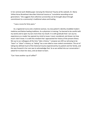In her seminal work *Wakiksuyapi: Carrying the Historical Trauma of the Lakotah*, Dr. Maria Yellow Horse Braveheart describes historical trauma as "cumulative wounding across generations." She suggests that collective survivorship can be brought about through commitment to a community's traditional values and healing.

"I was a nurse for forty years."

As a registered nurse and a medicine woman, my new patient's identity straddled modern medicine and Native healing traditions. As a physician in training, I've learned to be careful with my words and to open my ears more than my mouth. It is with gratitude that I can say my experience as a reader has opened my mind to issues I never considered, and shown me how much I don't know. It is with this mindset that I approached her history of the present illness. We say to our colleagues all the time "*take* a history." I propose we shift our phrasing to be "*learn*" or "*share*" a history, as "*taking*" has a one-sided or even violent connotation. The act of taking has defined much of the historical trauma experienced by my patient and her family, and the way forward in her care was to acknowledge that. So as we settled into our conversation I asked her to share her story, and sat down to learn.

"Can I have another cup of coffee?"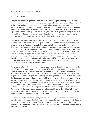# WHEN THE DOCTOR BECOMES A PATIENT

# By: Dr. Gail Mizner

One year ago, the night I got home from the 2018 CO ACP Chapter meeting, I was relaxing in the bath when my hand swept across my right breast and I felt something hard. I had a moment of dread, but pushed that aside and went to bed. Eight days later, I got a diagnostic mammogram which showed nothing—just the dense breasts that my mammograms had shown for years. The ultrasound was another story. Even I could see, the irregular mass in my lower right breast when I looked up at the screen. Dr A, the very nice diagnostic radiologist who takes turns with her colleagues coming to our rural hospital every Monday and Tuesday, tried to come up with a differential diagnosis, but we both knew I had breast cancer.

The biopsy was scheduled for the following week. I had a talk to prepare and patients to see and an elderly parent just out of the hospital to visit, so I didn't have much time to focus on the breast cancer until Thursday, the day before we were to leave on a one night hut trip. With the living room filled with backpacks and ski equipment, I decided to look up my ultrasound report: 2.0 x 2.4 x 3.0 cms. Three centimeters! I had just moved from what I'd assumed was stage 1 to stage 2. What I had thought was a little "ditzel" of a tumor attached to a cyst was actually a 3 cm tumor encompassing the entire "cyst." My friends asked me if I wanted to cancel our excursion, but I wouldn't hear of it. We went ahead with our plans, and, though not without its tearful moments, the trip was wonderful. My husband and friends enveloped me with love and support and laughed with me as I joked my way through my dread at having to stop HRT. Nature's beauty soothed and strengthene d me.

The biopsy went smoothly. It was not particularly painful, and I found it interesting to be in the role of a patient getting a procedure I had ordered for others so many times. The radiologist said she would call me in 2-3 days with the path report. She called the next day while I was at work: invasive ductal carcinoma, grade 2, ER/PR and HER2 testing to follow. Residency training prepares you to work through almost anything, but thank goodness I had a lot of no shows that day. In between patients, I called my husband, Mike, (who works in Phoenix all week long) and my two 20-something sons. Mike and Zach, my youngest son, both arranged to fly in the next day, but I couldn't face the idea of going home to an empty house that evening. I texted about 8 of my friends, several of whom had had breast cancer: "Just found out: invasive carcinoma…I'd like to have a cancer party tonight at my house… Bring food if you can come." They came, bringing a meal so delicious and w ell balanced it was as if we'd been planning for weeks. We laughed and told stories and those who'd already been through the breast cancer ordeal showed their lumpectomy scars. It was perfect.

The next day, I had to decide where to get treated. I'd been given lots of recommendations, including local options, but I decided I would feel most comfortable at the major medical center where I had trained and been on the faculty so many years ago and where I still had many friends and acquaintances. I called and got an all day appointment in their Breast Center for the following Wednesday.